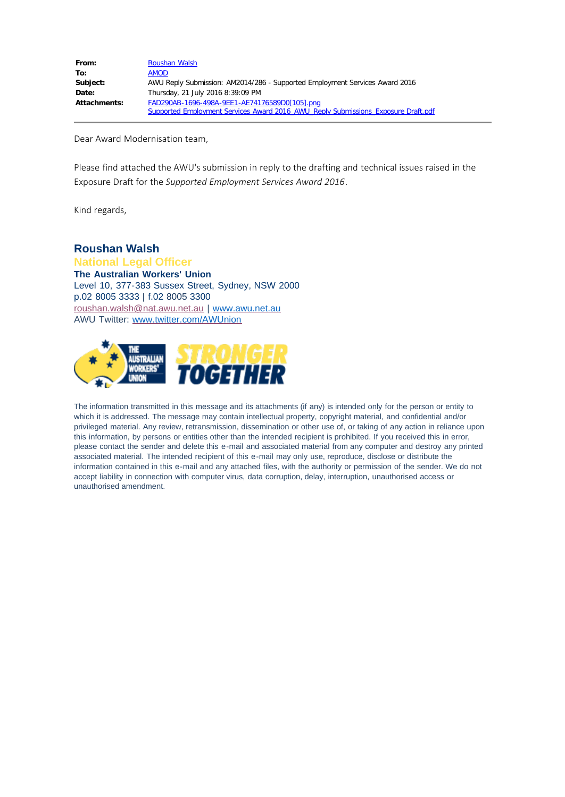| From:               | Roushan Walsh                                                                     |
|---------------------|-----------------------------------------------------------------------------------|
| To:                 | <b>AMOD</b>                                                                       |
| Subject:            | AWU Reply Submission: AM2014/286 - Supported Employment Services Award 2016       |
| Date:               | Thursday, 21 July 2016 8:39:09 PM                                                 |
| <b>Attachments:</b> | FAD290AB-1696-498A-9EE1-AE74176589D0[105].png                                     |
|                     | Supported Employment Services Award 2016 AWU Reply Submissions Exposure Draft.pdf |

Dear Award Modernisation team,

Please find attached the AWU's submission in reply to the drafting and technical issues raised in the Exposure Draft for the *Supported Employment Services Award 2016*.

Kind regards,

# **Roushan Walsh**

**National Legal Officer The Australian Workers' Union** Level 10, 377-383 Sussex Street, Sydney, NSW 2000 p.02 8005 3333 | f.02 8005 3300 [roushan.walsh@nat.awu.net.au](applewebdata://b159ef81-ab8a-4b4a-a2de-09cbac75156f/roushan.walsh@nat.awu.net.au) | [www.awu.net.au](http://www.awu.net.au/) AWU Twitter: [www.twitter.com/AWUnion](http://www.twitter.com/AWUnion)



The information transmitted in this message and its attachments (if any) is intended only for the person or entity to which it is addressed. The message may contain intellectual property, copyright material, and confidential and/or privileged material. Any review, retransmission, dissemination or other use of, or taking of any action in reliance upon this information, by persons or entities other than the intended recipient is prohibited. If you received this in error, please contact the sender and delete this e-mail and associated material from any computer and destroy any printed associated material. The intended recipient of this e-mail may only use, reproduce, disclose or distribute the information contained in this e-mail and any attached files, with the authority or permission of the sender. We do not accept liability in connection with computer virus, data corruption, delay, interruption, unauthorised access or unauthorised amendment.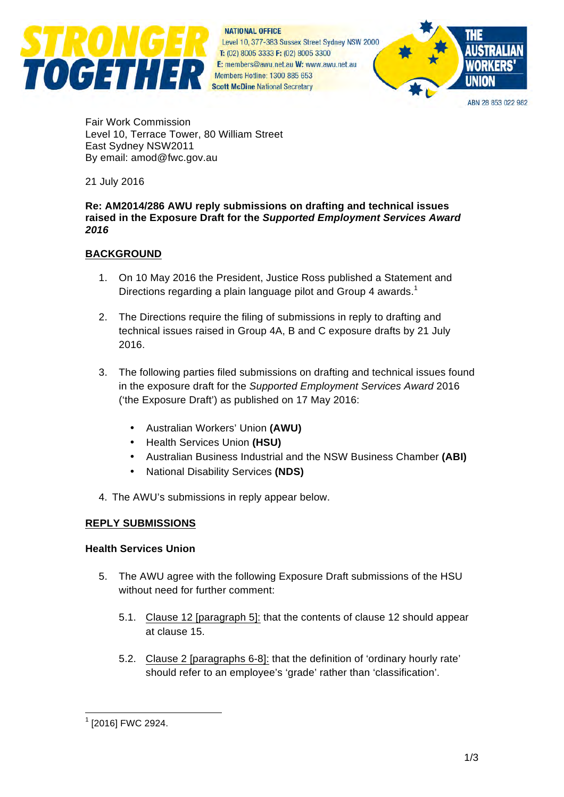

**NATIONAL OFFICE** Level 10, 377-383 Sussex Street Sydney NSW 2000 T: (02) 8005 3333 F: (02) 8005 3300 E: members@awu.net.au W: www.awu.net.au Members Hotline: 1300 885 653 **Scott McDine National Secretary** 



ARN 28 853 022 982

Fair Work Commission Level 10, Terrace Tower, 80 William Street East Sydney NSW2011 By email: amod@fwc.gov.au

21 July 2016

#### **Re: AM2014/286 AWU reply submissions on drafting and technical issues raised in the Exposure Draft for the** *Supported Employment Services Award 2016*

## **BACKGROUND**

- 1. On 10 May 2016 the President, Justice Ross published a Statement and Directions regarding a plain language pilot and Group 4 awards.<sup>1</sup>
- 2. The Directions require the filing of submissions in reply to drafting and technical issues raised in Group 4A, B and C exposure drafts by 21 July 2016.
- 3. The following parties filed submissions on drafting and technical issues found in the exposure draft for the *Supported Employment Services Award* 2016 ('the Exposure Draft') as published on 17 May 2016:
	- Australian Workers' Union **(AWU)**
	- Health Services Union **(HSU)**
	- Australian Business Industrial and the NSW Business Chamber **(ABI)**
	- National Disability Services **(NDS)**
- 4. The AWU's submissions in reply appear below.

#### **REPLY SUBMISSIONS**

#### **Health Services Union**

- 5. The AWU agree with the following Exposure Draft submissions of the HSU without need for further comment:
	- 5.1. Clause 12 [paragraph 5]: that the contents of clause 12 should appear at clause 15.
	- 5.2. Clause 2 [paragraphs 6-8]: that the definition of 'ordinary hourly rate' should refer to an employee's 'grade' rather than 'classification'.

 $1$  [2016] FWC 2924.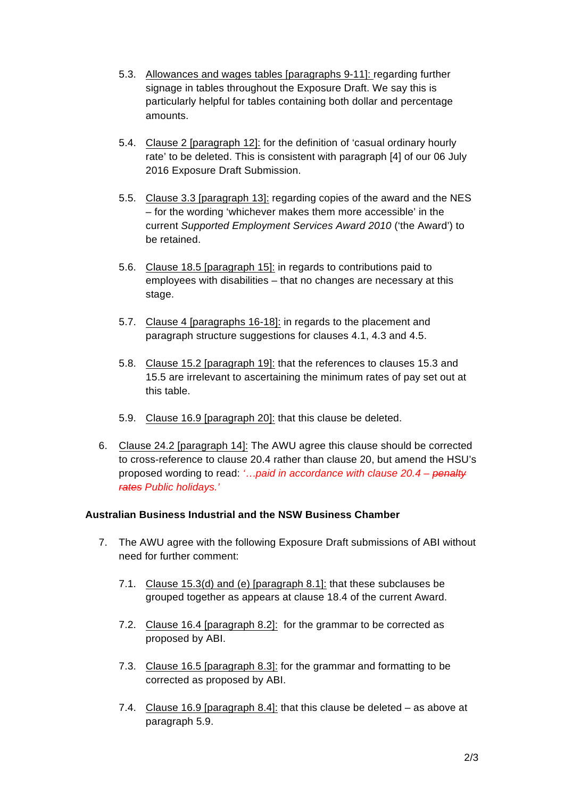- 5.3. Allowances and wages tables [paragraphs 9-11]: regarding further signage in tables throughout the Exposure Draft. We say this is particularly helpful for tables containing both dollar and percentage amounts.
- 5.4. Clause 2 [paragraph 12]: for the definition of 'casual ordinary hourly rate' to be deleted. This is consistent with paragraph [4] of our 06 July 2016 Exposure Draft Submission.
- 5.5. Clause 3.3 [paragraph 13]: regarding copies of the award and the NES – for the wording 'whichever makes them more accessible' in the current *Supported Employment Services Award 2010* ('the Award') to be retained.
- 5.6. Clause 18.5 [paragraph 15]: in regards to contributions paid to employees with disabilities – that no changes are necessary at this stage.
- 5.7. Clause 4 [paragraphs 16-18]: in regards to the placement and paragraph structure suggestions for clauses 4.1, 4.3 and 4.5.
- 5.8. Clause 15.2 [paragraph 19]: that the references to clauses 15.3 and 15.5 are irrelevant to ascertaining the minimum rates of pay set out at this table.
- 5.9. Clause 16.9 [paragraph 20]: that this clause be deleted.
- 6. Clause 24.2 [paragraph 14]: The AWU agree this clause should be corrected to cross-reference to clause 20.4 rather than clause 20, but amend the HSU's proposed wording to read: *'…paid in accordance with clause 20.4 – penalty rates Public holidays.'*

#### **Australian Business Industrial and the NSW Business Chamber**

- 7. The AWU agree with the following Exposure Draft submissions of ABI without need for further comment:
	- 7.1. Clause 15.3(d) and (e) [paragraph 8.1]: that these subclauses be grouped together as appears at clause 18.4 of the current Award.
	- 7.2. Clause 16.4 [paragraph 8.2]: for the grammar to be corrected as proposed by ABI.
	- 7.3. Clause 16.5 [paragraph 8.3]: for the grammar and formatting to be corrected as proposed by ABI.
	- 7.4. Clause 16.9 [paragraph 8.4]: that this clause be deleted as above at paragraph 5.9.